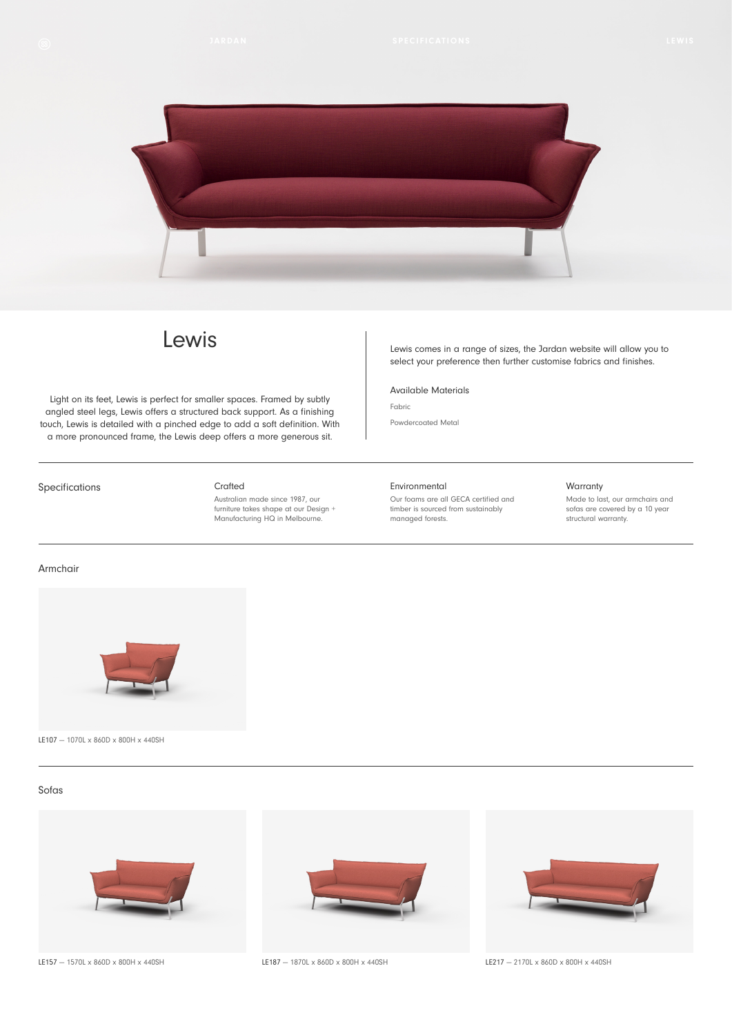

# Lewis

Light on its feet, Lewis is perfect for smaller spaces. Framed by subtly angled steel legs, Lewis offers a structured back support. As a finishing touch, Lewis is detailed with a pinched edge to add a soft definition. With a more pronounced frame, the Lewis deep offers a more generous sit.

Specifications

#### Crafted

Australian made since 1987, our furniture takes shape at our Design + Manufacturing HQ in Melbourne.

Lewis comes in a range of sizes, the Jardan website will allow you to select your preference then further customise fabrics and finishes.

### Available Materials

Powdercoated Metal

Fabric

#### Environmental

Our foams are all GECA certified and timber is sourced from sustainably managed forests.

#### Warranty

Made to last, our armchairs and sofas are covered by a 10 year structural warranty.

## Armchair



LE107 — 1070L x 860D x 800H x 440SH

# Sofas



LE157 — 1570L x 860D x 800H x 440SH



LE187 - 1870L x 860D x 800H x 440SH LE217 - 2170L x 860D x 800H x 440SH